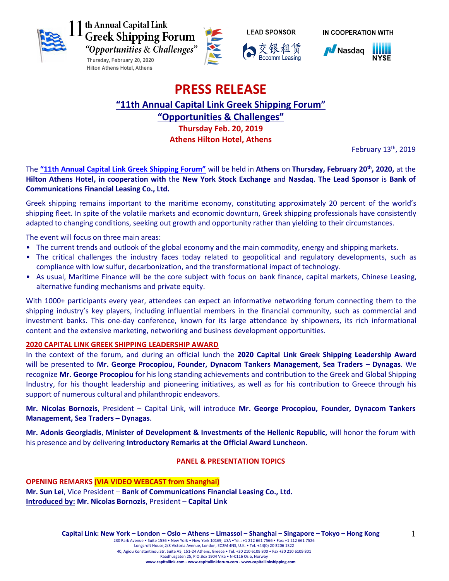







IN COOPERATION WITH



# **PRESS RELEASE**

**"11th Annual Capital Link Greek Shipping Forum"**

**"Opportunities & Challenges"**

**Thursday Feb. 20, 2019**

**Athens Hilton Hotel, Athens**

February 13<sup>th</sup>, 2019

The **["11th Annual Capital Link Greek Shipping Forum"](http://forums.capitallink.com/shipping/2020greece/)** will be held in **Athens** on **Thursday, February 20th , 2020,** at the **Hilton Athens Hotel, in cooperation with** the **New York Stock Exchange** and **Nasdaq**. **The Lead Sponsor** is **Bank of Communications Financial Leasing Co., Ltd.**

Greek shipping remains important to the maritime economy, constituting approximately 20 percent of the world's shipping fleet. In spite of the volatile markets and economic downturn, Greek shipping professionals have consistently adapted to changing conditions, seeking out growth and opportunity rather than yielding to their circumstances.

The event will focus on three main areas:

- The current trends and outlook of the global economy and the main commodity, energy and shipping markets.
- The critical challenges the industry faces today related to geopolitical and regulatory developments, such as compliance with low sulfur, decarbonization, and the transformational impact of technology.
- As usual, Maritime Finance will be the core subject with focus on bank finance, capital markets, Chinese Leasing, alternative funding mechanisms and private equity.

With 1000+ participants every year, attendees can expect an informative networking forum connecting them to the shipping industry's key players, including influential members in the financial community, such as commercial and investment banks. This one-day conference, known for its large attendance by shipowners, its rich informational content and the extensive marketing, networking and business development opportunities.

# **2020 CAPITAL LINK GREEK SHIPPING LEADERSHIP AWARD**

In the context of the forum, and during an official lunch the **2020 Capital Link Greek Shipping Leadership Award**  will be presented to **Mr. George Procopiou, Founder, Dynacom Tankers Management, Sea Traders – Dynagas**. We recognize **Mr. George Procopiou** for his long standing achievements and contribution to the Greek and Global Shipping Industry, for his thought leadership and pioneering initiatives, as well as for his contribution to Greece through his support of numerous cultural and philanthropic endeavors.

**Mr. Nicolas Bornozis**, President – Capital Link, will introduce **Mr. George Procopiou, Founder, Dynacom Tankers Management, Sea Traders – Dynagas**.

**Mr. Adonis Georgiadis**, **Minister of Development & Investments of the Hellenic Republic,** will honor the forum with his presence and by delivering **Introductory Remarks at the Official Award Luncheon**.

# **PANEL & PRESENTATION TOPICS**

**OPENING REMARKS (VIA VIDEO WEBCAST from Shanghai) Mr. Sun Lei**, Vice President – **Bank of Communications Financial Leasing Co., Ltd. Introduced by: Mr. Nicolas Bornozis**, President – **Capital Link**

1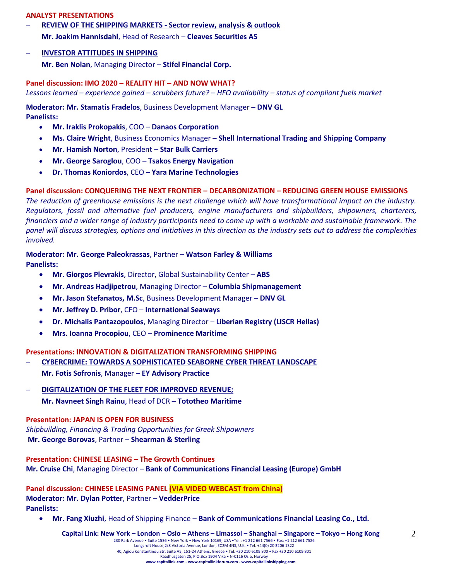#### **ANALYST PRESENTATIONS**

- **REVIEW OF THE SHIPPING MARKETS - Sector review, analysis & outlook Mr. Joakim Hannisdahl**, Head of Research – **Cleaves Securities AS**
- **INVESTOR ATTITUDES IN SHIPPING**

**Mr. Ben Nolan**, Managing Director – **Stifel Financial Corp.**

#### **Panel discussion: IMO 2020 – REALITY HIT – AND NOW WHAT?**

*Lessons learned – experience gained – scrubbers future? – HFO availability – status of compliant fuels market*

**Moderator: Mr. Stamatis Fradelos**, Business Development Manager – **DNV GL Panelists:**

- **Mr. Iraklis Prokopakis**, COO **Danaos Corporation**
- **Ms. Claire Wright**, Business Economics Manager **Shell International Trading and Shipping Company**
- **Mr. Hamish Norton**, President **Star Bulk Carriers**
- **Mr. George Saroglou**, COO **Tsakos Energy Navigation**
- **Dr. Thomas Koniordos**, CEO **Yara Marine Technologies**

#### **Panel discussion: CONQUERING THE NEXT FRONTIER – DECARBONIZATION – REDUCING GREEN HOUSE EMISSIONS**

*The reduction of greenhouse emissions is the next challenge which will have transformational impact on the industry. Regulators, fossil and alternative fuel producers, engine manufacturers and shipbuilders, shipowners, charterers, financiers and a wider range of industry participants need to come up with a workable and sustainable framework. The panel will discuss strategies, options and initiatives in this direction as the industry sets out to address the complexities involved.*

#### **Moderator: Mr. George Paleokrassas**, Partner – **Watson Farley & Williams Panelists:**

- **Mr. Giorgos Plevrakis**, Director, Global Sustainability Center **ABS**
- **Mr. Andreas Hadjipetrou**, Managing Director **Columbia Shipmanagement**
- **Mr. Jason Stefanatos, M.Sc**, Business Development Manager **DNV GL**
- **Mr. Jeffrey D. Pribor**, CFO **International Seaways**
- **Dr. Michalis Pantazopoulos**, Managing Director **Liberian Registry (LISCR Hellas)**
- **Mrs. Ioanna Procopiou**, CEO **Prominence Maritime**

#### **Presentations: INNOVATION & DIGITALIZATION TRANSFORMING SHIPPING**

- **CYBERCRIME: TOWARDS A SOPHISTICATED SEABORNE CYBER THREAT LANDSCAPE Mr. Fotis Sofronis**, Manager – **EY Advisory Practice**
- **DIGITALIZATION OF THE FLEET FOR IMPROVED REVENUE; Mr. Navneet Singh Rainu**, Head of DCR – **Tototheo Maritime**

#### **Presentation: JAPAN IS OPEN FOR BUSINESS**

*Shipbuilding, Financing & Trading Opportunities for Greek Shipowners* **Mr. George Borovas**, Partner – **Shearman & Sterling**

**Presentation: CHINESE LEASING – The Growth Continues Mr. Cruise Chi**, Managing Director – **Bank of Communications Financial Leasing (Europe) GmbH**

**Panel discussion: CHINESE LEASING PANEL (VIA VIDEO WEBCAST from China) Moderator: Mr. Dylan Potter**, Partner – **VedderPrice Panelists:**

**Mr. Fang Xiuzhi**, Head of Shipping Finance – **Bank of Communications Financial Leasing Co., Ltd.**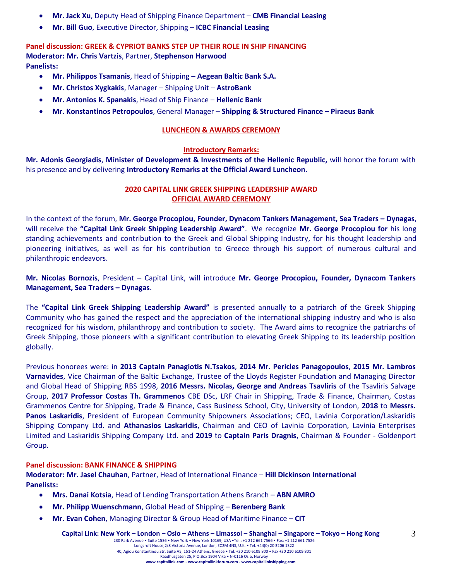- **Mr. Jack Xu**, Deputy Head of Shipping Finance Department **CMB Financial Leasing**
- **Mr. Bill Guo**, Executive Director, Shipping **ICBC Financial Leasing**

**Panel discussion: GREEK & CYPRIOT BANKS STEP UP THEIR ROLE IN SHIP FINANCING Moderator: Mr. Chris Vartzis**, Partner, **Stephenson Harwood Panelists:**

- **Mr. Philippos Tsamanis**, Head of Shipping **Aegean Baltic Bank S.A.**
- **Mr. Christos Xygkakis**, Manager Shipping Unit **AstroBank**
- **Mr. Antonios K. Spanakis**, Head of Ship Finance **Hellenic Bank**
- **Mr. Konstantinos Petropoulos**, General Manager **Shipping & Structured Finance – Piraeus Bank**

#### **LUNCHEON & AWARDS CEREMONY**

#### **Introductory Remarks:**

**Mr. Adonis Georgiadis**, **Minister of Development & Investments of the Hellenic Republic,** will honor the forum with his presence and by delivering **Introductory Remarks at the Official Award Luncheon**.

### **2020 CAPITAL LINK GREEK SHIPPING LEADERSHIP AWARD OFFICIAL AWARD CEREMONY**

In the context of the forum, **Mr. George Procopiou, Founder, Dynacom Tankers Management, Sea Traders – Dynagas**, will receive the **"Capital Link Greek Shipping Leadership Award"**. We recognize **Mr. George Procopiou for** his long standing achievements and contribution to the Greek and Global Shipping Industry, for his thought leadership and pioneering initiatives, as well as for his contribution to Greece through his support of numerous cultural and philanthropic endeavors.

**Mr. Nicolas Bornozis**, President – Capital Link, will introduce **Mr. George Procopiou, Founder, Dynacom Tankers Management, Sea Traders – Dynagas**.

The **"Capital Link Greek Shipping Leadership Award"** is presented annually to a patriarch of the Greek Shipping Community who has gained the respect and the appreciation of the international shipping industry and who is also recognized for his wisdom, philanthropy and contribution to society. The Award aims to recognize the patriarchs of Greek Shipping, those pioneers with a significant contribution to elevating Greek Shipping to its leadership position globally.

Previous honorees were: in **2013 Captain Panagiotis N.Tsakos**, **2014 Mr. Pericles Panagopoulos**, **2015 Mr. Lambros Varnavides**, Vice Chairman of the Baltic Exchange, Trustee of the Lloyds Register Foundation and Managing Director and Global Head of Shipping RBS 1998, **2016 Messrs. Nicolas, George and Andreas Tsavliris** of the Tsavliris Salvage Group, **2017 Professor Costas Th. Grammenos** CBE DSc, LRF Chair in Shipping, Trade & Finance, Chairman, Costas Grammenos Centre for Shipping, Trade & Finance, Cass Business School, City, University of London, **2018** to **Messrs. Panos Laskaridis**, President of European Community Shipowners Associations; CEO, Lavinia Corporation/Laskaridis Shipping Company Ltd. and **Athanasios Laskaridis**, Chairman and CEO of Lavinia Corporation, Lavinia Enterprises Limited and Laskaridis Shipping Company Ltd. and **2019** to **Captain Paris Dragnis**, Chairman & Founder - Goldenport Group.

#### **Panel discussion: BANK FINANCE & SHIPPING**

**Moderator: Mr. Jasel Chauhan**, Partner, Head of International Finance – **Hill Dickinson International Panelists:**

- **Mrs. Danai Kotsia**, Head of Lending Transportation Athens Branch **ABN AMRO**
- **Mr. Philipp Wuenschmann**, Global Head of Shipping **Berenberg Bank**
- **Mr. Evan Cohen**, Managing Director & Group Head of Maritime Finance **CIT**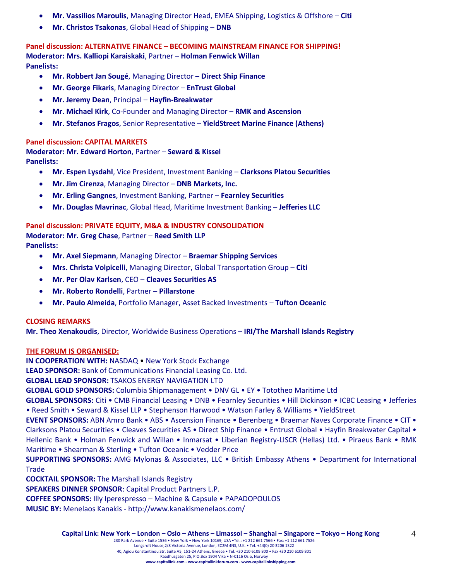- **Mr. Vassilios Maroulis**, Managing Director Head, EMEA Shipping, Logistics & Offshore **Citi**
- **Mr. Christos Tsakonas**, Global Head of Shipping **DNB**

**Panel discussion: ALTERNATIVE FINANCE – BECOMING MAINSTREAM FINANCE FOR SHIPPING! Moderator: Mrs. Kalliopi Karaiskaki**, Partner – **Holman Fenwick Willan Panelists:**

- **Mr. Robbert Jan Sougé**, Managing Director **Direct Ship Finance**
- **Mr. George Fikaris**, Managing Director **EnTrust Global**
- **Mr. Jeremy Dean**, Principal **Hayfin-Breakwater**
- **Mr. Michael Kirk**, Co-Founder and Managing Director **RMK and Ascension**
- **Mr. Stefanos Fragos**, Senior Representative **YieldStreet Marine Finance (Athens)**

#### **Panel discussion: CAPITAL MARKETS**

**Moderator: Mr. Edward Horton**, Partner – **Seward & Kissel Panelists:**

- **Mr. Espen Lysdahl**, Vice President, Investment Banking **Clarksons Platou Securities**
- **Mr. Jim Cirenza**, Managing Director **DNB Markets, Inc.**
- **Mr. Erling Gangnes**, Investment Banking, Partner **Fearnley Securities**
- **Mr. Douglas Mavrinac**, Global Head, Maritime Investment Banking **Jefferies LLC**

# **Panel discussion: PRIVATE EQUITY, M&A & INDUSTRY CONSOLIDATION Moderator: Mr. Greg Chase**, Partner – **Reed Smith LLP**

**Panelists:**

- **Mr. Axel Siepmann**, Managing Director **Braemar Shipping Services**
- **Mrs. Christa Volpicelli**, Managing Director, Global Transportation Group **Citi**
- **Mr. Per Olav Karlsen**, CEO **Cleaves Securities AS**
- **Mr. Roberto Rondelli**, Partner **Pillarstone**
- **Mr. Paulo Almeida**, Portfolio Manager, Asset Backed Investments **Tufton Oceanic**

#### **CLOSING REMARKS**

**Mr. Theo Xenakoudis**, Director, Worldwide Business Operations – **IRI/The Marshall Islands Registry**

#### **THE FORUM IS ORGANISED:**

**IN COOPERATION WITH:** NASDAQ • New York Stock Exchange **LEAD SPONSOR:** Bank of Communications Financial Leasing Co. Ltd. **GLOBAL LEAD SPONSOR:** TSAKOS ENERGY NAVIGATION LTD **GLOBAL GOLD SPONSORS:** Columbia Shipmanagement • DNV GL • EY • Tototheo Maritime Ltd **GLOBAL SPONSORS:** Citi • CMB Financial Leasing • DΝB • Fearnley Securities • Hill Dickinson • ICBC Leasing • Jefferies • Reed Smith • Seward & Kissel LLP • Stephenson Harwood • Watson Farley & Williams • YieldStreet **EVENT SPONSORS:** ABN Amro Bank • ABS • Ascension Finance • Berenberg • Braemar Naves Corporate Finance • CIT • Clarksons Platou Securities • Cleaves Securities AS • Direct Ship Finance • Entrust Global • Hayfin Breakwater Capital • Hellenic Bank • Holman Fenwick and Willan • Inmarsat • Liberian Registry-LISCR (Hellas) Ltd. • Piraeus Bank • RMK Maritime • Shearman & Sterling • Tufton Oceanic • Vedder Price **SUPPORTING SPONSORS:** AMG Mylonas & Associates, LLC • British Embassy Athens • Department for International Trade **COCKTAIL SPONSOR:** The Marshall Islands Registry **SPEAKERS DINNER SPONSOR**: Capital Product Partners L.P.

**COFFEE SPONSORS:** Illy Iperespresso – Machine & Capsule • PAPADOPOULOS

**MUSIC BY:** Menelaos Kanakis - <http://www.kanakismenelaos.com/>